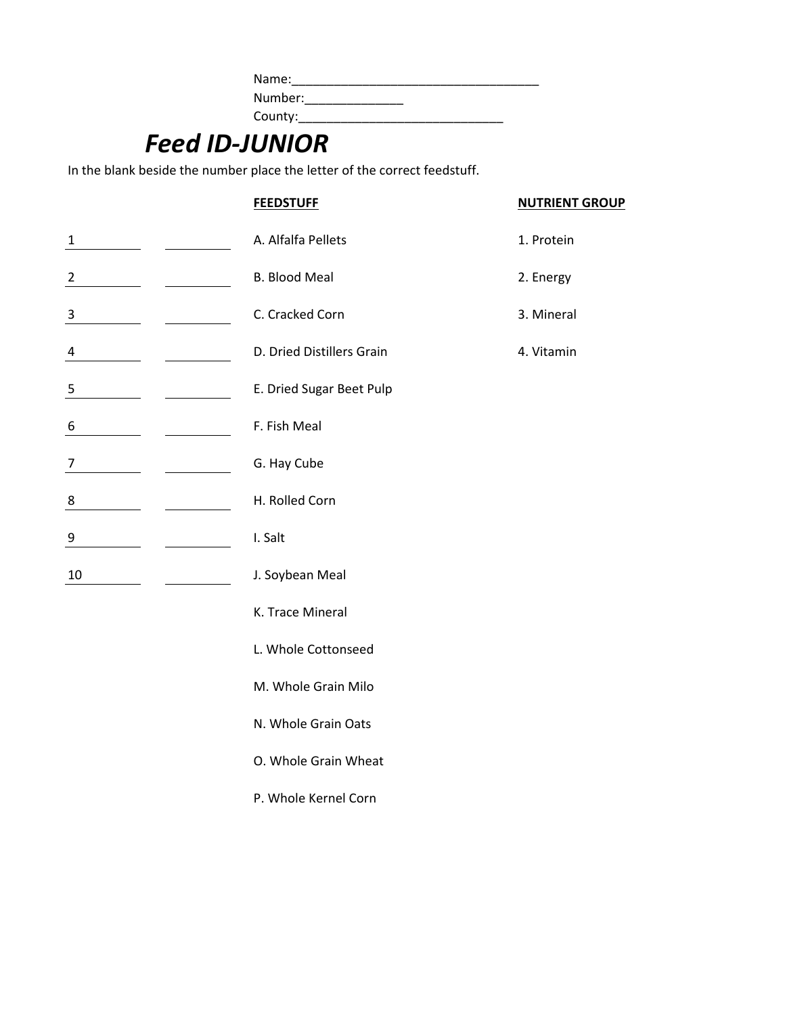| Name:   |
|---------|
| Number: |
| County: |

# *Feed ID-JUNIOR*

In the blank beside the number place the letter of the correct feedstuff.

|                         | <b>FEEDSTUFF</b>          | <b>NUTRIENT GROUP</b> |  |  |
|-------------------------|---------------------------|-----------------------|--|--|
| $\mathbf 1$             | A. Alfalfa Pellets        | 1. Protein            |  |  |
| 2                       | <b>B. Blood Meal</b>      | 2. Energy             |  |  |
| $\overline{\mathbf{3}}$ | C. Cracked Corn           | 3. Mineral            |  |  |
| 4                       | D. Dried Distillers Grain | 4. Vitamin            |  |  |
| $\overline{\mathbf{5}}$ | E. Dried Sugar Beet Pulp  |                       |  |  |
| 6                       | F. Fish Meal              |                       |  |  |
| 7                       | G. Hay Cube               |                       |  |  |
| 8                       | H. Rolled Corn            |                       |  |  |
| $\overline{9}$          | I. Salt                   |                       |  |  |
| 10                      | J. Soybean Meal           |                       |  |  |
|                         | K. Trace Mineral          |                       |  |  |
|                         | L. Whole Cottonseed       |                       |  |  |
|                         | M. Whole Grain Milo       |                       |  |  |
|                         | N. Whole Grain Oats       |                       |  |  |
|                         | O. Whole Grain Wheat      |                       |  |  |
|                         | P. Whole Kernel Corn      |                       |  |  |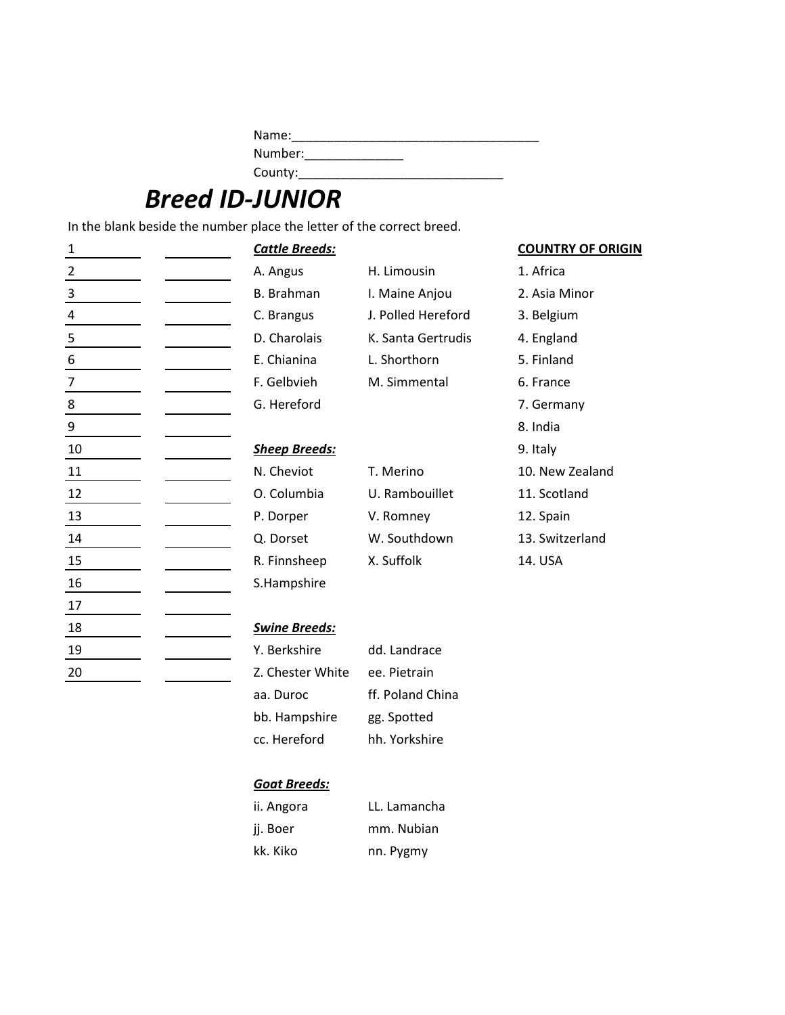| Name:   |  |
|---------|--|
| Number: |  |
| County: |  |

# *Breed ID-JUNIOR*

In the blank beside the number place the letter of the correct breed.

| 1              | <b>Cattle Breeds:</b> |                    | <b>COUNTRY OF ORIGIN</b> |
|----------------|-----------------------|--------------------|--------------------------|
| $\overline{2}$ | A. Angus              | H. Limousin        | 1. Africa                |
| 3              | <b>B.</b> Brahman     | I. Maine Anjou     | 2. Asia Minor            |
| 4              | C. Brangus            | J. Polled Hereford | 3. Belgium               |
| 5              | D. Charolais          | K. Santa Gertrudis | 4. England               |
| 6              | E. Chianina           | L. Shorthorn       | 5. Finland               |
| $\overline{7}$ | F. Gelbvieh           | M. Simmental       | 6. France                |
| 8              | G. Hereford           |                    | 7. Germany               |
| 9              |                       |                    | 8. India                 |
| 10             | <b>Sheep Breeds:</b>  |                    | 9. Italy                 |
| 11             | N. Cheviot            | T. Merino          | 10. New Zealand          |
| 12             | O. Columbia           | U. Rambouillet     | 11. Scotland             |
| 13             | P. Dorper             | V. Romney          | 12. Spain                |
| 14             | Q. Dorset             | W. Southdown       | 13. Switzerland          |
| $15\,$         | R. Finnsheep          | X. Suffolk         | 14. USA                  |
| 16             | S.Hampshire           |                    |                          |
| 17             |                       |                    |                          |
| 18             | <b>Swine Breeds:</b>  |                    |                          |
| 19             | Y. Berkshire          | dd. Landrace       |                          |
| 20             | Z. Chester White      | ee. Pietrain       |                          |
|                | aa. Duroc             | ff. Poland China   |                          |

bb. Hampshire gg. Spotted cc. Hereford hh. Yorkshire

ii. Angora LL. Lamancha jj. Boer mm. Nubian kk. Kiko nn. Pygmy

*Goat Breeds:*

- 
-